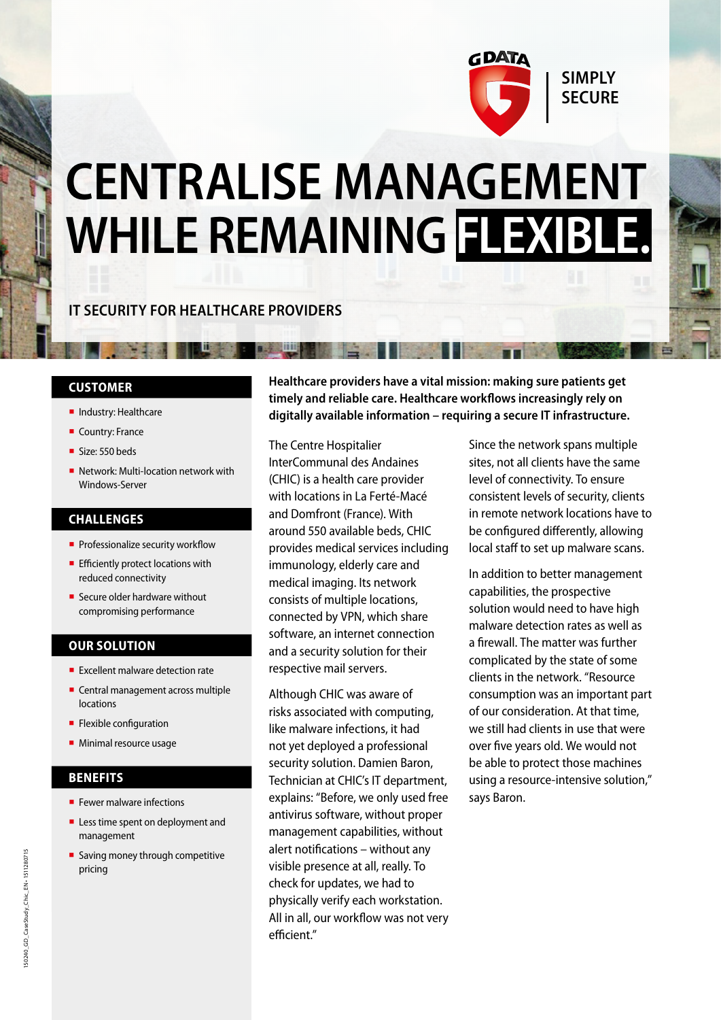

# **CENTRALISE MANAGEMENT WHILE REMAINING FLEXIBLE.**

### **IT SECURITY FOR HEALTHCARE PROVIDERS**

**B. S. JIII** 

#### **CUSTOMER**

- **·** Industry: Healthcare
- Country: France
- Size: 550 beds
- Network: Multi-location network with Windows-Server

### **CHALLENGES**

- **Professionalize security workflow**
- **Efficiently protect locations with** reduced connectivity
- Secure older hardware without compromising performance

### **OUR SOLUTION**

- Excellent malware detection rate
- Central management across multiple locations
- **E** Flexible configuration
- **■** Minimal resource usage

### **BENEFITS**

- **F** Fewer malware infections
- Less time spent on deployment and management
- Saving money through competitive pricing

**Healthcare providers have a vital mission: making sure patients get timely and reliable care. Healthcare workflows increasingly rely on digitally available information – requiring a secure IT infrastructure.**

The Centre Hospitalier InterCommunal des Andaines (CHIC) is a health care provider with locations in La Ferté-Macé and Domfront (France). With around 550 available beds, CHIC provides medical services including immunology, elderly care and medical imaging. Its network consists of multiple locations, connected by VPN, which share software, an internet connection and a security solution for their respective mail servers.

Although CHIC was aware of risks associated with computing, like malware infections, it had not yet deployed a professional security solution. Damien Baron, Technician at CHIC's IT department, explains: "Before, we only used free antivirus software, without proper management capabilities, without alert notifications – without any visible presence at all, really. To check for updates, we had to physically verify each workstation. All in all, our workflow was not very efficient."

Since the network spans multiple sites, not all clients have the same level of connectivity. To ensure consistent levels of security, clients in remote network locations have to be configured differently, allowing local staff to set up malware scans.

In addition to better management capabilities, the prospective solution would need to have high malware detection rates as well as a firewall. The matter was further complicated by the state of some clients in the network. "Resource consumption was an important part of our consideration. At that time, we still had clients in use that were over five years old. We would not be able to protect those machines using a resource-intensive solution," says Baron.